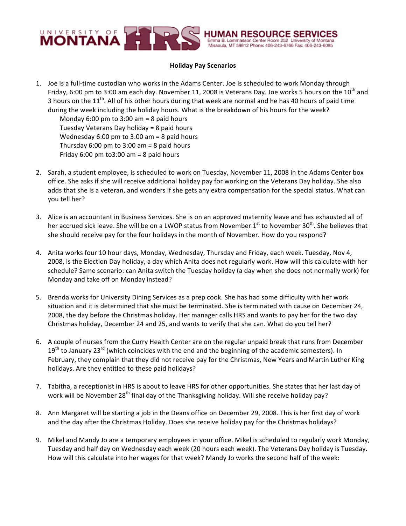

## **Holiday Pay Scenarios**

1. Joe is a full-time custodian who works in the Adams Center. Joe is scheduled to work Monday through Friday, 6:00 pm to 3:00 am each day. November 11, 2008 is Veterans Day. Joe works 5 hours on the 10<sup>th</sup> and 3 hours on the  $11<sup>th</sup>$ . All of his other hours during that week are normal and he has 40 hours of paid time during the week including the holiday hours. What is the breakdown of his hours for the week?

Monday  $6:00$  pm to  $3:00$  am = 8 paid hours Tuesday Veterans Day holiday =  $8$  paid hours Wednesday  $6:00$  pm to  $3:00$  am = 8 paid hours Thursday  $6:00$  pm to  $3:00$  am = 8 paid hours Friday  $6:00$  pm to  $3:00$  am = 8 paid hours

- 2. Sarah, a student employee, is scheduled to work on Tuesday, November 11, 2008 in the Adams Center box office. She asks if she will receive additional holiday pay for working on the Veterans Day holiday. She also adds that she is a veteran, and wonders if she gets any extra compensation for the special status. What can you tell her?
- 3. Alice is an accountant in Business Services. She is on an approved maternity leave and has exhausted all of her accrued sick leave. She will be on a LWOP status from November 1<sup>st</sup> to November 30<sup>th</sup>. She believes that she should receive pay for the four holidays in the month of November. How do you respond?
- 4. Anita works four 10 hour days, Monday, Wednesday, Thursday and Friday, each week. Tuesday, Nov 4, 2008, is the Election Day holiday, a day which Anita does not regularly work. How will this calculate with her schedule? Same scenario: can Anita switch the Tuesday holiday (a day when she does not normally work) for Monday and take off on Monday instead?
- 5. Brenda works for University Dining Services as a prep cook. She has had some difficulty with her work situation and it is determined that she must be terminated. She is terminated with cause on December 24, 2008, the day before the Christmas holiday. Her manager calls HRS and wants to pay her for the two day Christmas holiday, December 24 and 25, and wants to verify that she can. What do you tell her?
- 6. A couple of nurses from the Curry Health Center are on the regular unpaid break that runs from December  $19<sup>th</sup>$  to January  $23<sup>rd</sup>$  (which coincides with the end and the beginning of the academic semesters). In February, they complain that they did not receive pay for the Christmas, New Years and Martin Luther King holidays. Are they entitled to these paid holidays?
- 7. Tabitha, a receptionist in HRS is about to leave HRS for other opportunities. She states that her last day of work will be November 28<sup>th</sup> final day of the Thanksgiving holiday. Will she receive holiday pay?
- 8. Ann Margaret will be starting a job in the Deans office on December 29, 2008. This is her first day of work and the day after the Christmas Holiday. Does she receive holiday pay for the Christmas holidays?
- 9. Mikel and Mandy Jo are a temporary employees in your office. Mikel is scheduled to regularly work Monday, Tuesday and half day on Wednesday each week (20 hours each week). The Veterans Day holiday is Tuesday. How will this calculate into her wages for that week? Mandy Jo works the second half of the week: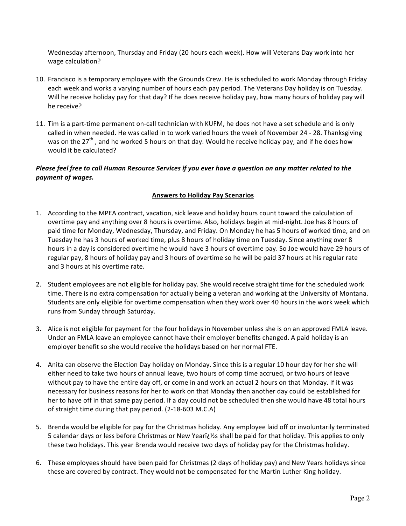Wednesday afternoon, Thursday and Friday (20 hours each week). How will Veterans Day work into her wage calculation?

- 10. Francisco is a temporary employee with the Grounds Crew. He is scheduled to work Monday through Friday each week and works a varying number of hours each pay period. The Veterans Day holiday is on Tuesday. Will he receive holiday pay for that day? If he does receive holiday pay, how many hours of holiday pay will he receive?
- 11. Tim is a part-time permanent on-call technician with KUFM, he does not have a set schedule and is only called in when needed. He was called in to work varied hours the week of November 24 - 28. Thanksgiving was on the 27<sup>th</sup>, and he worked 5 hours on that day. Would he receive holiday pay, and if he does how would it be calculated?

## *Please feel free to call Human Resource Services if you ever have a question on any matter related to the payment of wages.*

## **Answers to Holiday Pay Scenarios**

- 1. According to the MPEA contract, vacation, sick leave and holiday hours count toward the calculation of overtime pay and anything over 8 hours is overtime. Also, holidays begin at mid-night. Joe has 8 hours of paid time for Monday, Wednesday, Thursday, and Friday. On Monday he has 5 hours of worked time, and on Tuesday he has 3 hours of worked time, plus 8 hours of holiday time on Tuesday. Since anything over 8 hours in a day is considered overtime he would have 3 hours of overtime pay. So Joe would have 29 hours of regular pay, 8 hours of holiday pay and 3 hours of overtime so he will be paid 37 hours at his regular rate and 3 hours at his overtime rate.
- 2. Student employees are not eligible for holiday pay. She would receive straight time for the scheduled work time. There is no extra compensation for actually being a veteran and working at the University of Montana. Students are only eligible for overtime compensation when they work over 40 hours in the work week which runs from Sunday through Saturday.
- 3. Alice is not eligible for payment for the four holidays in November unless she is on an approved FMLA leave. Under an FMLA leave an employee cannot have their employer benefits changed. A paid holiday is an employer benefit so she would receive the holidays based on her normal FTE.
- 4. Anita can observe the Election Day holiday on Monday. Since this is a regular 10 hour day for her she will either need to take two hours of annual leave, two hours of comp time accrued, or two hours of leave without pay to have the entire day off, or come in and work an actual 2 hours on that Monday. If it was necessary for business reasons for her to work on that Monday then another day could be established for her to have off in that same pay period. If a day could not be scheduled then she would have 48 total hours of straight time during that pay period. (2-18-603 M.C.A)
- 5. Brenda would be eligible for pay for the Christmas holiday. Any employee laid off or involuntarily terminated 5 calendar days or less before Christmas or New Yeari $\zeta$  is shall be paid for that holiday. This applies to only these two holidays. This year Brenda would receive two days of holiday pay for the Christmas holiday.
- 6. These employees should have been paid for Christmas (2 days of holiday pay) and New Years holidays since these are covered by contract. They would not be compensated for the Martin Luther King holiday.